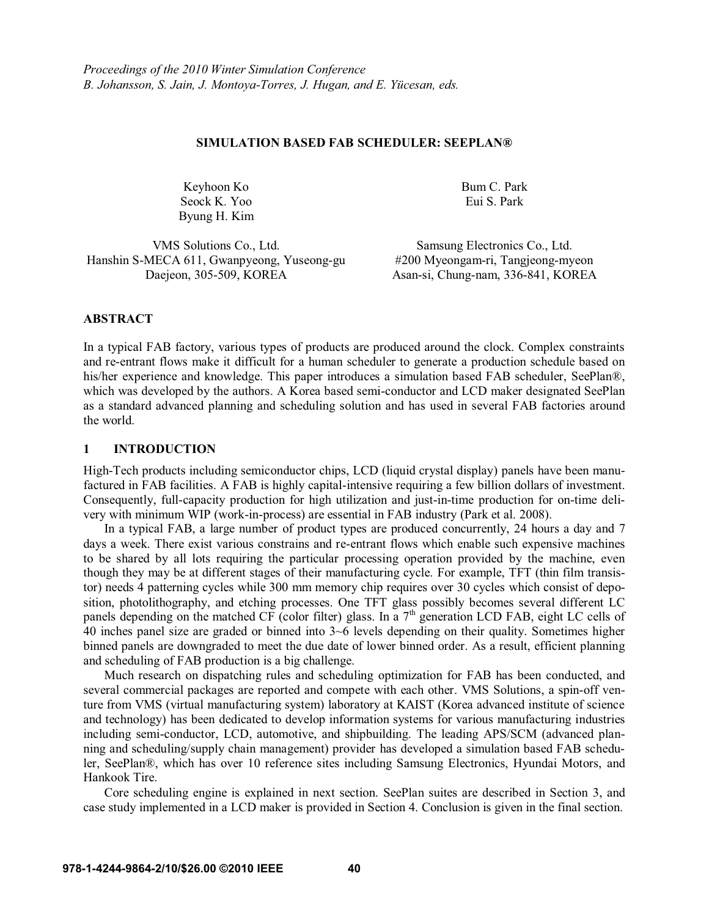#### **SIMULATION BASED FAB SCHEDULER: SEEPLAN®**

Keyhoon Ko Seock K. Yoo Byung H. Kim Bum C. Park Eui S. Park

VMS Solutions Co., Ltd. Samsung Electronics Co., Ltd. Hanshin S-MECA 611, Gwanpyeong, Yuseong-gu #200 Myeongam-ri, Tangjeong-myeon

Daejeon, 305-509, KOREA Asan-si, Chung-nam, 336-841, KOREA

# **ABSTRACT**

In a typical FAB factory, various types of products are produced around the clock. Complex constraints and re-entrant flows make it difficult for a human scheduler to generate a production schedule based on his/her experience and knowledge. This paper introduces a simulation based FAB scheduler, SeePlan®, which was developed by the authors. A Korea based semi-conductor and LCD maker designated SeePlan as a standard advanced planning and scheduling solution and has used in several FAB factories around the world.

## **1 INTRODUCTION**

High-Tech products including semiconductor chips, LCD (liquid crystal display) panels have been manufactured in FAB facilities. A FAB is highly capital-intensive requiring a few billion dollars of investment. Consequently, full-capacity production for high utilization and just-in-time production for on-time delivery with minimum WIP (work-in-process) are essential in FAB industry (Park et al. 2008).

In a typical FAB, a large number of product types are produced concurrently, 24 hours a day and 7 days a week. There exist various constrains and re-entrant flows which enable such expensive machines to be shared by all lots requiring the particular processing operation provided by the machine, even though they may be at different stages of their manufacturing cycle. For example, TFT (thin film transistor) needs 4 patterning cycles while 300 mm memory chip requires over 30 cycles which consist of deposition, photolithography, and etching processes. One TFT glass possibly becomes several different LC panels depending on the matched CF (color filter) glass. In a 7<sup>th</sup> generation LCD FAB, eight LC cells of 40 inches panel size are graded or binned into 3~6 levels depending on their quality. Sometimes higher binned panels are downgraded to meet the due date of lower binned order. As a result, efficient planning and scheduling of FAB production is a big challenge.

Much research on dispatching rules and scheduling optimization for FAB has been conducted, and several commercial packages are reported and compete with each other. VMS Solutions, a spin-off venture from VMS (virtual manufacturing system) laboratory at KAIST (Korea advanced institute of science and technology) has been dedicated to develop information systems for various manufacturing industries including semi-conductor, LCD, automotive, and shipbuilding. The leading APS/SCM (advanced planning and scheduling/supply chain management) provider has developed a simulation based FAB scheduler, SeePlan®, which has over 10 reference sites including Samsung Electronics, Hyundai Motors, and Hankook Tire.

 Core scheduling engine is explained in next section. SeePlan suites are described in Section 3, and case study implemented in a LCD maker is provided in Section 4. Conclusion is given in the final section.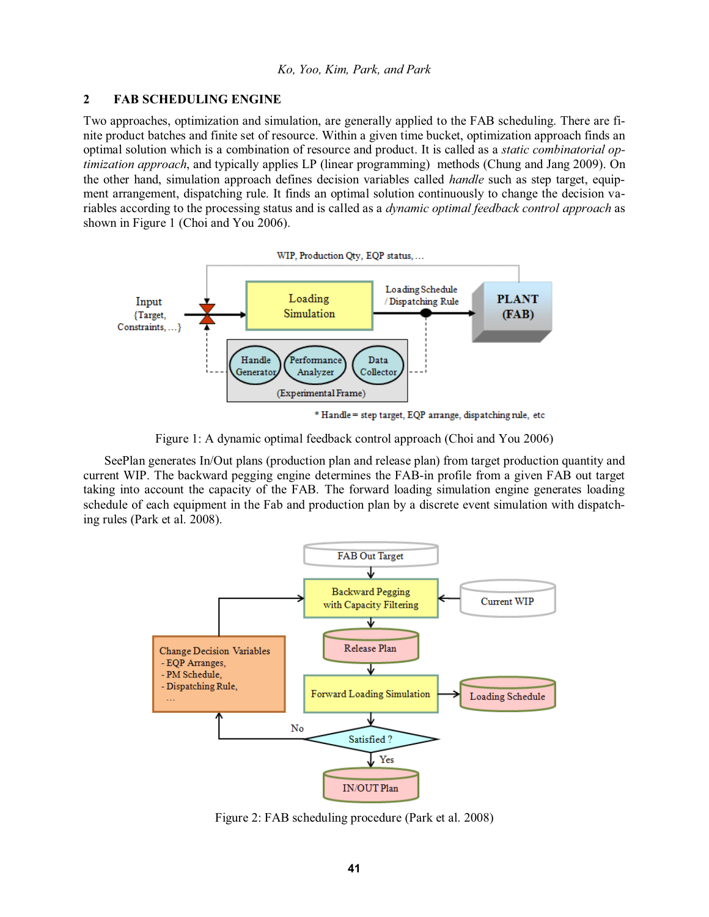## **2 FAB SCHEDULING ENGINE**

Two approaches, optimization and simulation, are generally applied to the FAB scheduling. There are finite product batches and finite set of resource. Within a given time bucket, optimization approach finds an optimal solution which is a combination of resource and product. It is called as a *static combinatorial optimization approach*, and typically applies LP (linear programming) methods (Chung and Jang 2009). On the other hand, simulation approach defines decision variables called *handle* such as step target, equipment arrangement, dispatching rule. It finds an optimal solution continuously to change the decision variables according to the processing status and is called as a *dynamic optimal feedback control approach* as shown in Figure 1 (Choi and You 2006).



\* Handle = step target, EQP arrange, dispatching rule, etc

Figure 1: A dynamic optimal feedback control approach (Choi and You 2006)

 SeePlan generates In/Out plans (production plan and release plan) from target production quantity and current WIP. The backward pegging engine determines the FAB-in profile from a given FAB out target taking into account the capacity of the FAB. The forward loading simulation engine generates loading schedule of each equipment in the Fab and production plan by a discrete event simulation with dispatching rules (Park et al. 2008).



Figure 2: FAB scheduling procedure (Park et al. 2008)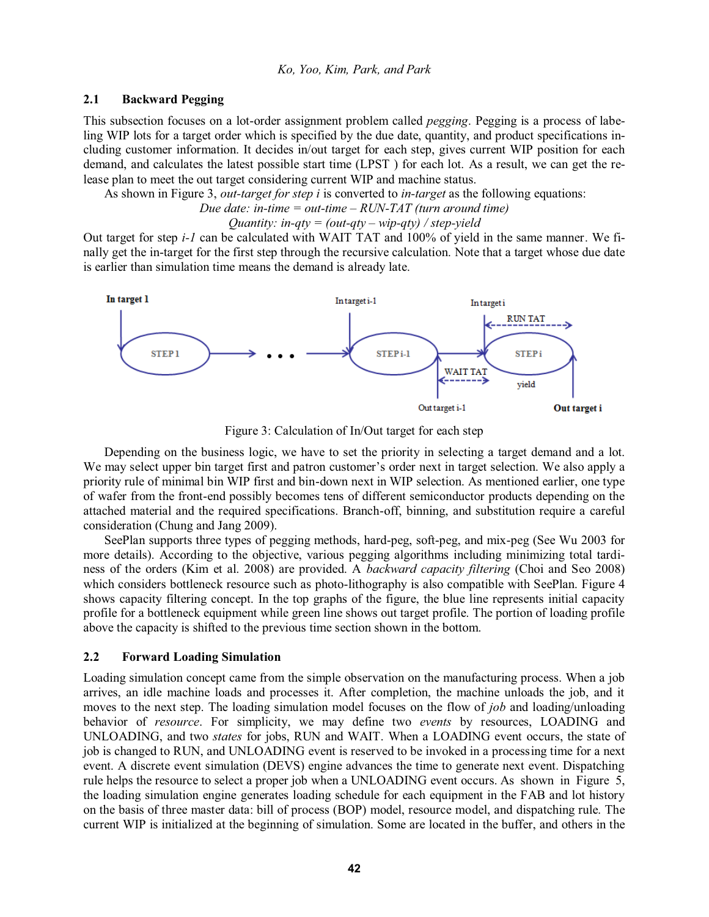## **2.1 Backward Pegging**

This subsection focuses on a lot-order assignment problem called *pegging*. Pegging is a process of labeling WIP lots for a target order which is specified by the due date, quantity, and product specifications including customer information. It decides in/out target for each step, gives current WIP position for each demand, and calculates the latest possible start time (LPST ) for each lot. As a result, we can get the release plan to meet the out target considering current WIP and machine status.

As shown in Figure 3, *out-target for step i* is converted to *in-target* as the following equations:

*Due date: in-time = out-time - RUN-TAT (turn around time)* 

*Quantity: in-qty = (out-qty - wip-qty) / step-yield* 

Out target for step *i-1* can be calculated with WAIT TAT and 100% of yield in the same manner. We finally get the in-target for the first step through the recursive calculation. Note that a target whose due date is earlier than simulation time means the demand is already late.



Figure 3: Calculation of In/Out target for each step

 Depending on the business logic, we have to set the priority in selecting a target demand and a lot. We may select upper bin target first and patron customer's order next in target selection. We also apply a priority rule of minimal bin WIP first and bin-down next in WIP selection. As mentioned earlier, one type of wafer from the front-end possibly becomes tens of different semiconductor products depending on the attached material and the required specifications. Branch-off, binning, and substitution require a careful consideration (Chung and Jang 2009).

 SeePlan supports three types of pegging methods, hard-peg, soft-peg, and mix-peg (See Wu 2003 for more details). According to the objective, various pegging algorithms including minimizing total tardiness of the orders (Kim et al. 2008) are provided. A *backward capacity filtering* (Choi and Seo 2008) which considers bottleneck resource such as photo-lithography is also compatible with SeePlan. Figure 4 shows capacity filtering concept. In the top graphs of the figure, the blue line represents initial capacity profile for a bottleneck equipment while green line shows out target profile. The portion of loading profile above the capacity is shifted to the previous time section shown in the bottom.

## **2.2 Forward Loading Simulation**

Loading simulation concept came from the simple observation on the manufacturing process. When a job arrives, an idle machine loads and processes it. After completion, the machine unloads the job, and it moves to the next step. The loading simulation model focuses on the flow of *job* and loading/unloading behavior of *resource*. For simplicity, we may define two *events* by resources, LOADING and UNLOADING, and two *states* for jobs, RUN and WAIT. When a LOADING event occurs, the state of job is changed to RUN, and UNLOADING event is reserved to be invoked in a processing time for a next event. A discrete event simulation (DEVS) engine advances the time to generate next event. Dispatching rule helps the resource to select a proper job when a UNLOADING event occurs. As shown in Figure 5, the loading simulation engine generates loading schedule for each equipment in the FAB and lot history on the basis of three master data: bill of process (BOP) model, resource model, and dispatching rule. The current WIP is initialized at the beginning of simulation. Some are located in the buffer, and others in the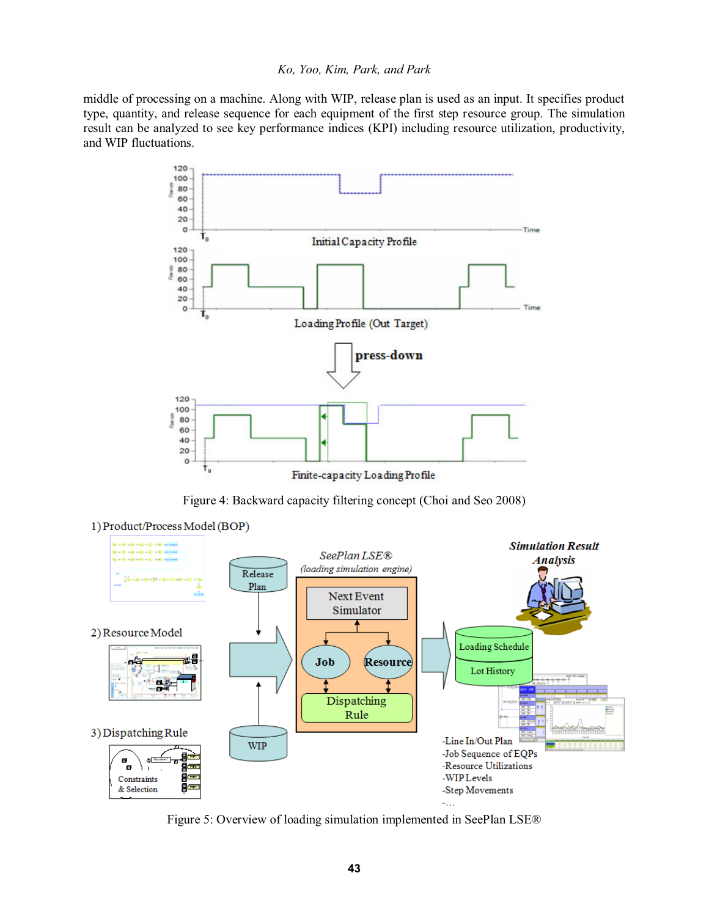middle of processing on a machine. Along with WIP, release plan is used as an input. It specifies product type, quantity, and release sequence for each equipment of the first step resource group. The simulation result can be analyzed to see key performance indices (KPI) including resource utilization, productivity, and WIP fluctuations.



Figure 4: Backward capacity filtering concept (Choi and Seo 2008)



Figure 5: Overview of loading simulation implemented in SeePlan LSE®

**43**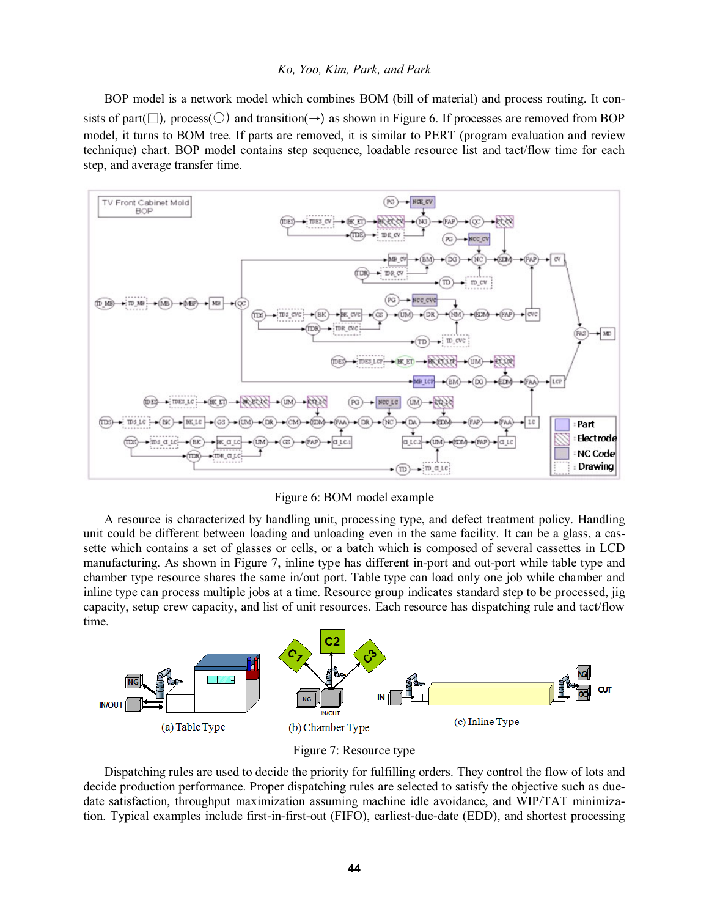BOP model is a network model which combines BOM (bill of material) and process routing. It consists of part( $\Box$ ), process( $\Diamond$ ) and transition( $\rightarrow$ ) as shown in Figure 6. If processes are removed from BOP model, it turns to BOM tree. If parts are removed, it is similar to PERT (program evaluation and review technique) chart. BOP model contains step sequence, loadable resource list and tact/flow time for each step, and average transfer time.



Figure 6: BOM model example

A resource is characterized by handling unit, processing type, and defect treatment policy. Handling unit could be different between loading and unloading even in the same facility. It can be a glass, a cassette which contains a set of glasses or cells, or a batch which is composed of several cassettes in LCD manufacturing. As shown in Figure 7, inline type has different in-port and out-port while table type and chamber type resource shares the same in/out port. Table type can load only one job while chamber and inline type can process multiple jobs at a time. Resource group indicates standard step to be processed, jig capacity, setup crew capacity, and list of unit resources. Each resource has dispatching rule and tact/flow time.



Figure 7: Resource type

Dispatching rules are used to decide the priority for fulfilling orders. They control the flow of lots and decide production performance. Proper dispatching rules are selected to satisfy the objective such as duedate satisfaction, throughput maximization assuming machine idle avoidance, and WIP/TAT minimization. Typical examples include first-in-first-out (FIFO), earliest-due-date (EDD), and shortest processing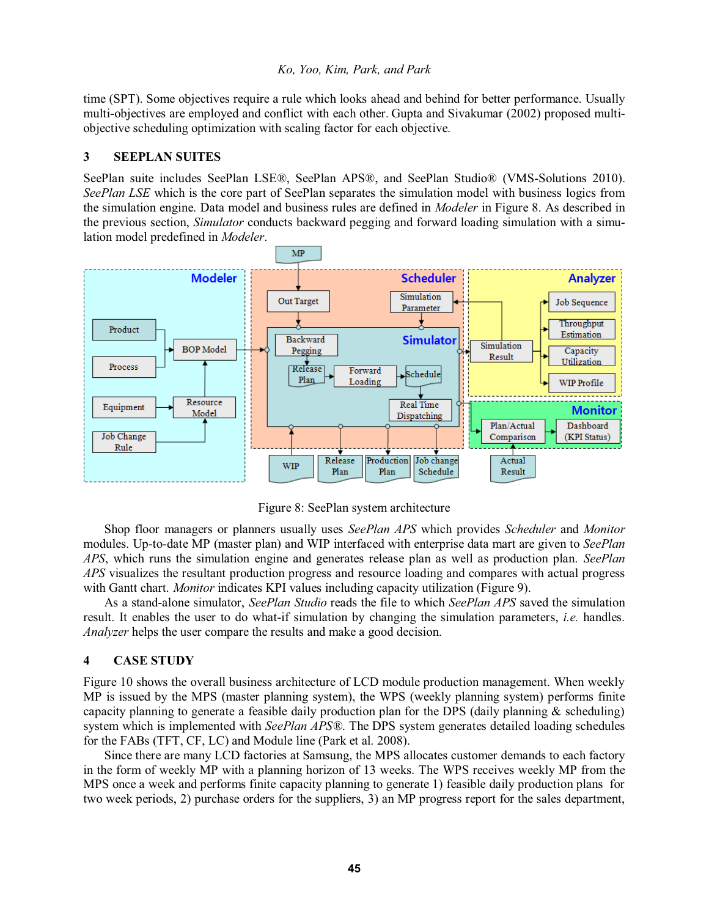time (SPT). Some objectives require a rule which looks ahead and behind for better performance. Usually multi-objectives are employed and conflict with each other. Gupta and Sivakumar (2002) proposed multiobjective scheduling optimization with scaling factor for each objective.

#### **3 SEEPLAN SUITES**

SeePlan suite includes SeePlan LSE®, SeePlan APS®, and SeePlan Studio® (VMS-Solutions 2010). *SeePlan LSE* which is the core part of SeePlan separates the simulation model with business logics from the simulation engine. Data model and business rules are defined in *Modeler* in Figure 8. As described in the previous section, *Simulator* conducts backward pegging and forward loading simulation with a simulation model predefined in *Modeler*.



Figure 8: SeePlan system architecture

Shop floor managers or planners usually uses *SeePlan APS* which provides *Scheduler* and *Monitor* modules. Up-to-date MP (master plan) and WIP interfaced with enterprise data mart are given to *SeePlan APS*, which runs the simulation engine and generates release plan as well as production plan. *SeePlan APS* visualizes the resultant production progress and resource loading and compares with actual progress with Gantt chart. *Monitor* indicates KPI values including capacity utilization (Figure 9).

As a stand-alone simulator, *SeePlan Studio* reads the file to which *SeePlan APS* saved the simulation result. It enables the user to do what-if simulation by changing the simulation parameters, *i.e.* handles. *Analyzer* helps the user compare the results and make a good decision.

#### **4 CASE STUDY**

Figure 10 shows the overall business architecture of LCD module production management. When weekly MP is issued by the MPS (master planning system), the WPS (weekly planning system) performs finite capacity planning to generate a feasible daily production plan for the DPS (daily planning  $\&$  scheduling) system which is implemented with *SeePlan APS®*. The DPS system generates detailed loading schedules for the FABs (TFT, CF, LC) and Module line (Park et al. 2008).

 Since there are many LCD factories at Samsung, the MPS allocates customer demands to each factory in the form of weekly MP with a planning horizon of 13 weeks. The WPS receives weekly MP from the MPS once a week and performs finite capacity planning to generate 1) feasible daily production plans for two week periods, 2) purchase orders for the suppliers, 3) an MP progress report for the sales department,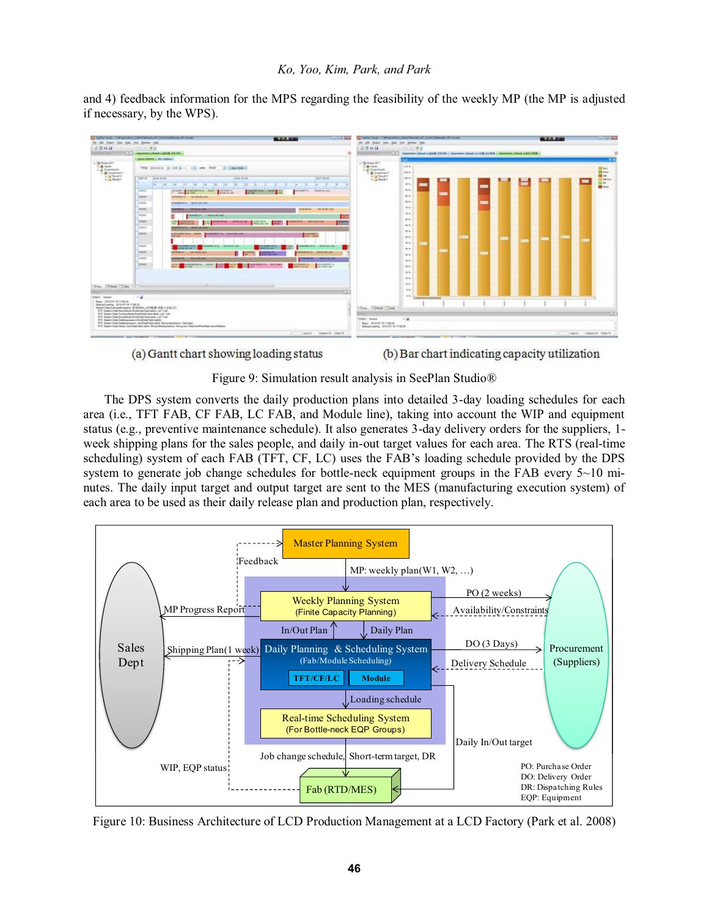and 4) feedback information for the MPS regarding the feasibility of the weekly MP (the MP is adjusted if necessary, by the WPS).



(a) Gantt chart showing loading status

(b) Bar chart indicating capacity utilization

Figure 9: Simulation result analysis in SeePlan Studio®

 The DPS system converts the daily production plans into detailed 3-day loading schedules for each area (i.e., TFT FAB, CF FAB, LC FAB, and Module line), taking into account the WIP and equipment status (e.g., preventive maintenance schedule). It also generates 3-day delivery orders for the suppliers, 1 week shipping plans for the sales people, and daily in-out target values for each area. The RTS (real-time scheduling) system of each FAB (TFT, CF, LC) uses the FAB's loading schedule provided by the DPS system to generate job change schedules for bottle-neck equipment groups in the FAB every  $5\nu$ -10 minutes. The daily input target and output target are sent to the MES (manufacturing execution system) of each area to be used as their daily release plan and production plan, respectively.



Figure 10: Business Architecture of LCD Production Management at a LCD Factory (Park et al. 2008)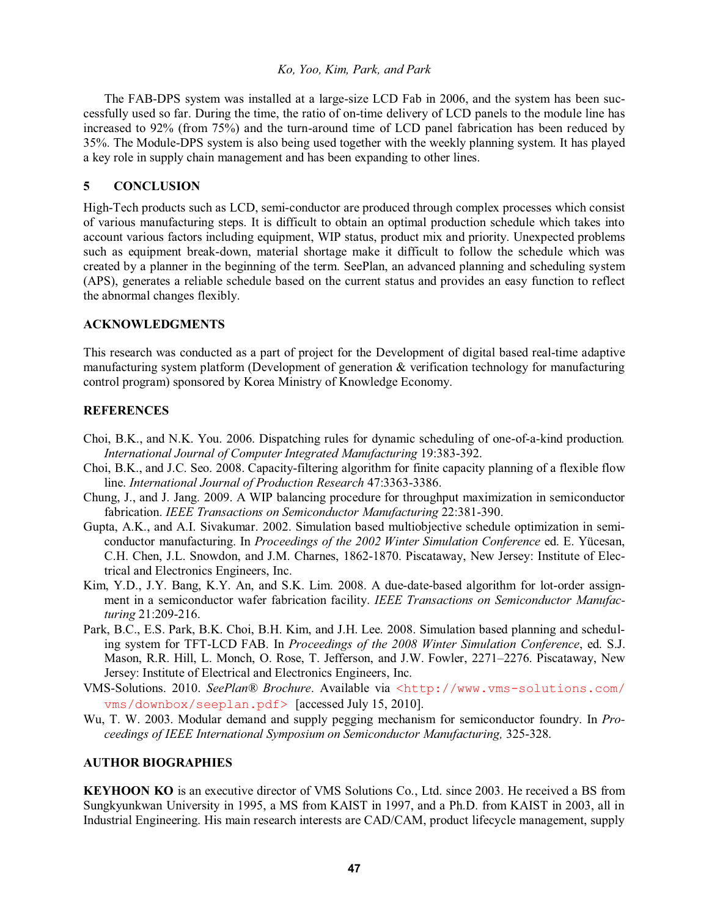The FAB-DPS system was installed at a large-size LCD Fab in 2006, and the system has been successfully used so far. During the time, the ratio of on-time delivery of LCD panels to the module line has increased to 92% (from 75%) and the turn-around time of LCD panel fabrication has been reduced by 35%. The Module-DPS system is also being used together with the weekly planning system. It has played a key role in supply chain management and has been expanding to other lines.

# **5 CONCLUSION**

High-Tech products such as LCD, semi-conductor are produced through complex processes which consist of various manufacturing steps. It is difficult to obtain an optimal production schedule which takes into account various factors including equipment, WIP status, product mix and priority. Unexpected problems such as equipment break-down, material shortage make it difficult to follow the schedule which was created by a planner in the beginning of the term. SeePlan, an advanced planning and scheduling system (APS), generates a reliable schedule based on the current status and provides an easy function to reflect the abnormal changes flexibly.

## **ACKNOWLEDGMENTS**

This research was conducted as a part of project for the Development of digital based real-time adaptive manufacturing system platform (Development of generation & verification technology for manufacturing control program) sponsored by Korea Ministry of Knowledge Economy.

# **REFERENCES**

- Choi, B.K., and N.K. You. 2006. Dispatching rules for dynamic scheduling of one-of-a-kind production*. International Journal of Computer Integrated Manufacturing* 19:383-392.
- Choi, B.K., and J.C. Seo. 2008. Capacity-filtering algorithm for finite capacity planning of a flexible flow line. *International Journal of Production Research* 47:3363-3386.
- Chung, J., and J. Jang. 2009. A WIP balancing procedure for throughput maximization in semiconductor fabrication. *IEEE Transactions on Semiconductor Manufacturing* 22:381-390.
- Gupta, A.K., and A.I. Sivakumar. 2002. Simulation based multiobjective schedule optimization in semiconductor manufacturing. In *Proceedings of the 2002 Winter Simulation Conference* ed. E. Yücesan, C.H. Chen, J.L. Snowdon, and J.M. Charnes, 1862-1870. Piscataway, New Jersey: Institute of Electrical and Electronics Engineers, Inc.
- Kim, Y.D., J.Y. Bang, K.Y. An, and S.K. Lim. 2008. A due-date-based algorithm for lot-order assignment in a semiconductor wafer fabrication facility. *IEEE Transactions on Semiconductor Manufacturing* 21:209-216.
- Park, B.C., E.S. Park, B.K. Choi, B.H. Kim, and J.H. Lee. 2008. Simulation based planning and scheduling system for TFT-LCD FAB. In *Proceedings of the 2008 Winter Simulation Conference*, ed. S.J. Mason, R.R. Hill, L. Monch, O. Rose, T. Jefferson, and J.W. Fowler, 2271-2276. Piscataway, New Jersey: Institute of Electrical and Electronics Engineers, Inc.
- VMS-Solutions. 2010. *SeePlan® Brochure*. Available via <http://www.vms-solutions.com/ vms/downbox/seeplan.pdf> [accessed July 15, 2010].
- Wu, T. W. 2003. Modular demand and supply pegging mechanism for semiconductor foundry. In *Proceedings of IEEE International Symposium on Semiconductor Manufacturing,* 325-328.

## **AUTHOR BIOGRAPHIES**

**KEYHOON KO** is an executive director of VMS Solutions Co., Ltd. since 2003. He received a BS from Sungkyunkwan University in 1995, a MS from KAIST in 1997, and a Ph.D. from KAIST in 2003, all in Industrial Engineering. His main research interests are CAD/CAM, product lifecycle management, supply